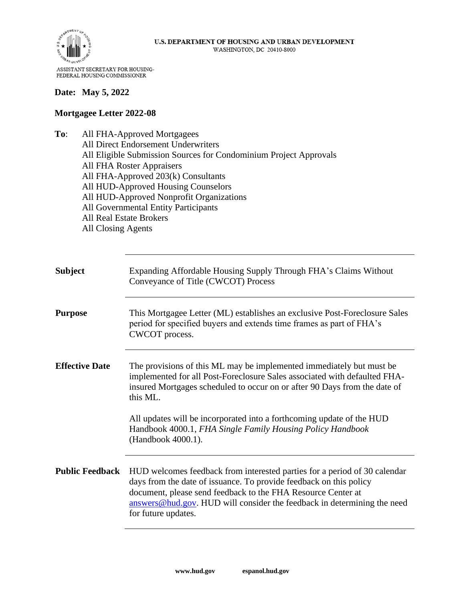

#### **Date: May 5, 2022**

#### **Mortgagee Letter 2022-08**

**To**: All FHA-Approved Mortgagees All Direct Endorsement Underwriters All Eligible Submission Sources for Condominium Project Approvals All FHA Roster Appraisers All FHA-Approved 203(k) Consultants All HUD-Approved Housing Counselors All HUD-Approved Nonprofit Organizations All Governmental Entity Participants All Real Estate Brokers All Closing Agents

| <b>Subject</b>         | Expanding Affordable Housing Supply Through FHA's Claims Without<br>Conveyance of Title (CWCOT) Process                                                                                                                                                                                                           |
|------------------------|-------------------------------------------------------------------------------------------------------------------------------------------------------------------------------------------------------------------------------------------------------------------------------------------------------------------|
| <b>Purpose</b>         | This Mortgagee Letter (ML) establishes an exclusive Post-Foreclosure Sales<br>period for specified buyers and extends time frames as part of FHA's<br>CWCOT process.                                                                                                                                              |
| <b>Effective Date</b>  | The provisions of this ML may be implemented immediately but must be<br>implemented for all Post-Foreclosure Sales associated with defaulted FHA-<br>insured Mortgages scheduled to occur on or after 90 Days from the date of<br>this ML.                                                                        |
|                        | All updates will be incorporated into a forthcoming update of the HUD<br>Handbook 4000.1, FHA Single Family Housing Policy Handbook<br>(Handbook 4000.1).                                                                                                                                                         |
| <b>Public Feedback</b> | HUD welcomes feedback from interested parties for a period of 30 calendar<br>days from the date of issuance. To provide feedback on this policy<br>document, please send feedback to the FHA Resource Center at<br>answers@hud.gov. HUD will consider the feedback in determining the need<br>for future updates. |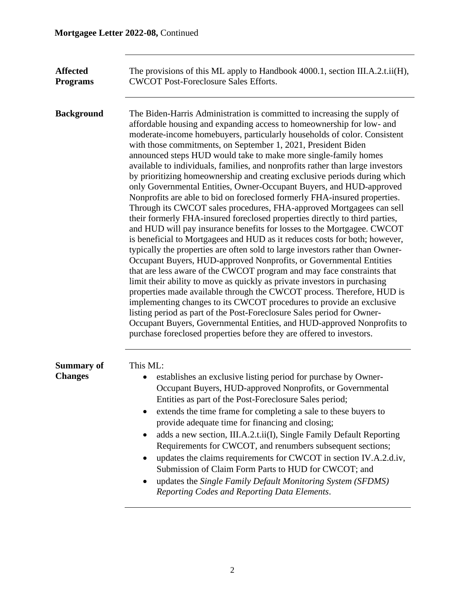| <b>Affected</b><br><b>Programs</b>  | The provisions of this ML apply to Handbook 4000.1, section III.A.2.t.ii(H),<br><b>CWCOT Post-Foreclosure Sales Efforts.</b>                                                                                                                                                                                                                                                                                                                                                                                                                                                                                                                                                                                                                                                                                                                                                                                                                                                                                                                                                                                                                                                                                                                                                                                                                                                                                                                                                                                                                                                                                                                                                                    |
|-------------------------------------|-------------------------------------------------------------------------------------------------------------------------------------------------------------------------------------------------------------------------------------------------------------------------------------------------------------------------------------------------------------------------------------------------------------------------------------------------------------------------------------------------------------------------------------------------------------------------------------------------------------------------------------------------------------------------------------------------------------------------------------------------------------------------------------------------------------------------------------------------------------------------------------------------------------------------------------------------------------------------------------------------------------------------------------------------------------------------------------------------------------------------------------------------------------------------------------------------------------------------------------------------------------------------------------------------------------------------------------------------------------------------------------------------------------------------------------------------------------------------------------------------------------------------------------------------------------------------------------------------------------------------------------------------------------------------------------------------|
| <b>Background</b>                   | The Biden-Harris Administration is committed to increasing the supply of<br>affordable housing and expanding access to homeownership for low- and<br>moderate-income homebuyers, particularly households of color. Consistent<br>with those commitments, on September 1, 2021, President Biden<br>announced steps HUD would take to make more single-family homes<br>available to individuals, families, and nonprofits rather than large investors<br>by prioritizing homeownership and creating exclusive periods during which<br>only Governmental Entities, Owner-Occupant Buyers, and HUD-approved<br>Nonprofits are able to bid on foreclosed formerly FHA-insured properties.<br>Through its CWCOT sales procedures, FHA-approved Mortgagees can sell<br>their formerly FHA-insured foreclosed properties directly to third parties,<br>and HUD will pay insurance benefits for losses to the Mortgagee. CWCOT<br>is beneficial to Mortgagees and HUD as it reduces costs for both; however,<br>typically the properties are often sold to large investors rather than Owner-<br>Occupant Buyers, HUD-approved Nonprofits, or Governmental Entities<br>that are less aware of the CWCOT program and may face constraints that<br>limit their ability to move as quickly as private investors in purchasing<br>properties made available through the CWCOT process. Therefore, HUD is<br>implementing changes to its CWCOT procedures to provide an exclusive<br>listing period as part of the Post-Foreclosure Sales period for Owner-<br>Occupant Buyers, Governmental Entities, and HUD-approved Nonprofits to<br>purchase foreclosed properties before they are offered to investors. |
| <b>Summary of</b><br><b>Changes</b> | This ML:<br>establishes an exclusive listing period for purchase by Owner-<br>٠<br>Occupant Buyers, HUD-approved Nonprofits, or Governmental<br>Entities as part of the Post-Foreclosure Sales period;<br>extends the time frame for completing a sale to these buyers to<br>provide adequate time for financing and closing;<br>adds a new section, III.A.2.t.ii(I), Single Family Default Reporting<br>Requirements for CWCOT, and renumbers subsequent sections;<br>updates the claims requirements for CWCOT in section IV.A.2.d.iv,<br>Submission of Claim Form Parts to HUD for CWCOT; and<br>updates the Single Family Default Monitoring System (SFDMS)<br>Reporting Codes and Reporting Data Elements.                                                                                                                                                                                                                                                                                                                                                                                                                                                                                                                                                                                                                                                                                                                                                                                                                                                                                                                                                                                 |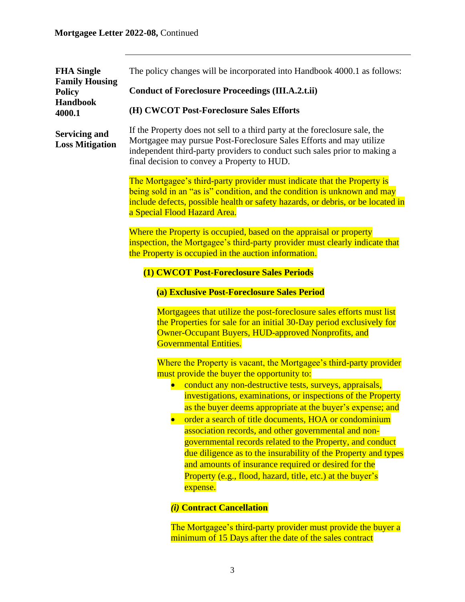| <b>FHA Single</b><br><b>Family Housing</b><br><b>Policy</b><br><b>Handbook</b><br>4000.1 | The policy changes will be incorporated into Handbook 4000.1 as follows:                                                                                                                                                                                                                                                                                                                                                                                                                                                                                                                                                                                                                                                 |
|------------------------------------------------------------------------------------------|--------------------------------------------------------------------------------------------------------------------------------------------------------------------------------------------------------------------------------------------------------------------------------------------------------------------------------------------------------------------------------------------------------------------------------------------------------------------------------------------------------------------------------------------------------------------------------------------------------------------------------------------------------------------------------------------------------------------------|
|                                                                                          | <b>Conduct of Foreclosure Proceedings (III.A.2.t.ii)</b>                                                                                                                                                                                                                                                                                                                                                                                                                                                                                                                                                                                                                                                                 |
|                                                                                          | (H) CWCOT Post-Foreclosure Sales Efforts                                                                                                                                                                                                                                                                                                                                                                                                                                                                                                                                                                                                                                                                                 |
| <b>Servicing and</b><br><b>Loss Mitigation</b>                                           | If the Property does not sell to a third party at the foreclosure sale, the<br>Mortgagee may pursue Post-Foreclosure Sales Efforts and may utilize<br>independent third-party providers to conduct such sales prior to making a<br>final decision to convey a Property to HUD.                                                                                                                                                                                                                                                                                                                                                                                                                                           |
|                                                                                          | The Mortgagee's third-party provider must indicate that the Property is<br>being sold in an "as is" condition, and the condition is unknown and may<br>include defects, possible health or safety hazards, or debris, or be located in<br>a Special Flood Hazard Area.                                                                                                                                                                                                                                                                                                                                                                                                                                                   |
|                                                                                          | Where the Property is occupied, based on the appraisal or property<br>inspection, the Mortgagee's third-party provider must clearly indicate that<br>the Property is occupied in the auction information.                                                                                                                                                                                                                                                                                                                                                                                                                                                                                                                |
|                                                                                          | (1) CWCOT Post-Foreclosure Sales Periods                                                                                                                                                                                                                                                                                                                                                                                                                                                                                                                                                                                                                                                                                 |
|                                                                                          | (a) Exclusive Post-Foreclosure Sales Period                                                                                                                                                                                                                                                                                                                                                                                                                                                                                                                                                                                                                                                                              |
|                                                                                          | Mortgagees that utilize the post-foreclosure sales efforts must list<br>the Properties for sale for an initial 30-Day period exclusively for<br>Owner-Occupant Buyers, HUD-approved Nonprofits, and<br><b>Governmental Entities.</b>                                                                                                                                                                                                                                                                                                                                                                                                                                                                                     |
|                                                                                          | Where the Property is vacant, the Mortgagee's third-party provider<br>must provide the buyer the opportunity to:<br>conduct any non-destructive tests, surveys, appraisals,<br>investigations, examinations, or inspections of the Property<br>as the buyer deems appropriate at the buyer's expense; and<br>order a search of title documents, HOA or condominium<br>association records, and other governmental and non-<br>governmental records related to the Property, and conduct<br>due diligence as to the insurability of the Property and types<br>and amounts of insurance required or desired for the<br>Property (e.g., flood, hazard, title, etc.) at the buyer's<br>expense.<br>(i) Contract Cancellation |
|                                                                                          | The Mortgagee's third-party provider must provide the buyer a                                                                                                                                                                                                                                                                                                                                                                                                                                                                                                                                                                                                                                                            |

minimum of 15 Days after the date of the sales contract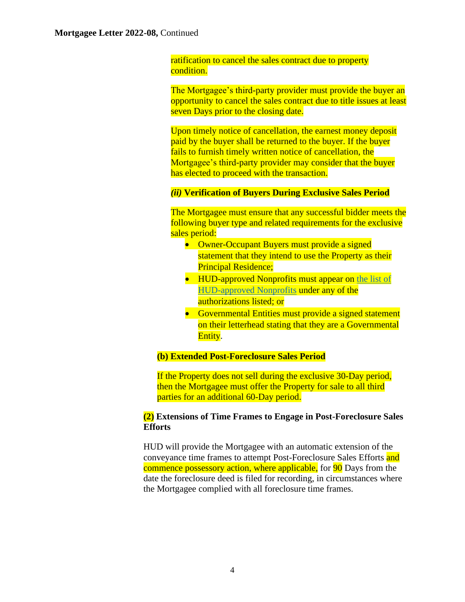ratification to cancel the sales contract due to property condition.

The Mortgagee's third-party provider must provide the buyer an opportunity to cancel the sales contract due to title issues at least seven Days prior to the closing date.

Upon timely notice of cancellation, the earnest money deposit paid by the buyer shall be returned to the buyer. If the buyer fails to furnish timely written notice of cancellation, the Mortgagee's third-party provider may consider that the buyer has elected to proceed with the transaction.

### <span id="page-3-0"></span>*(ii)* **Verification of Buyers During Exclusive Sales Period**

The Mortgagee must ensure that any successful bidder meets the following buyer type and related requirements for the exclusive sales period:

- Owner-Occupant Buyers must provide a signed statement that they intend to use the Property as their Principal Residence;
- HUD-approved Nonprofits must appear on the list of [HUD-approved Nonprofits](https://entp.hud.gov/idapp/html/f17npdata.cfm) under any of the authorizations listed; or
- Governmental Entities must provide a signed statement on their letterhead stating that they are a Governmental Entity.

# **(b) Extended Post-Foreclosure Sales Period**

If the Property does not sell during the exclusive 30-Day period, then the Mortgagee must offer the Property for sale to all third parties for an additional 60-Day period.

# **(2) Extensions of Time Frames to Engage in Post-Foreclosure Sales Efforts**

HUD will provide the Mortgagee with an automatic extension of the conveyance time frames to attempt Post-Foreclosure Sales Efforts and commence possessory action, where applicable, for 90 Days from the date the foreclosure deed is filed for recording, in circumstances where the Mortgagee complied with all foreclosure time frames.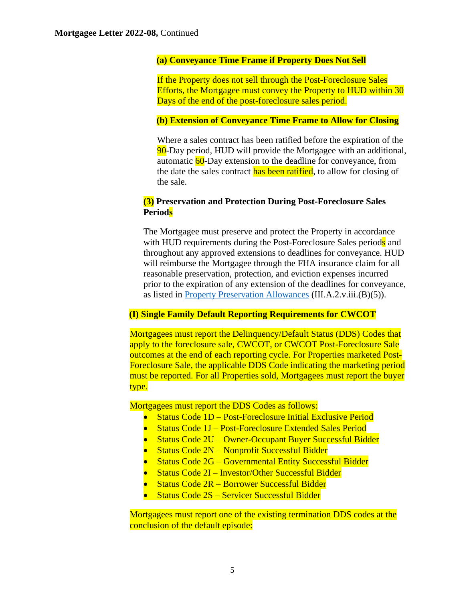## **(a) Conveyance Time Frame if Property Does Not Sell**

If the Property does not sell through the Post-Foreclosure Sales Efforts, the Mortgagee must convey the Property to HUD within 30 Days of the end of the post-foreclosure sales period.

## **(b) Extension of Conveyance Time Frame to Allow for Closing**

Where a sales contract has been ratified before the expiration of the 90-Day period, HUD will provide the Mortgagee with an additional, automatic 60-Day extension to the deadline for conveyance, from the date the sales contract has been ratified, to allow for closing of the sale.

# **(3) Preservation and Protection During Post-Foreclosure Sales Periods**

The Mortgagee must preserve and protect the Property in accordance with HUD requirements during the Post-Foreclosure Sales periods and throughout any approved extensions to deadlines for conveyance. HUD will reimburse the Mortgagee through the FHA insurance claim for all reasonable preservation, protection, and eviction expenses incurred prior to the expiration of any extension of the deadlines for conveyance, as listed in [Property Preservation Allowances](https://www.hud.gov/program_offices/administration/hudclips/handbooks/hsgh/) (III.A.2.v.iii.(B)(5)).

# **(I) Single Family Default Reporting Requirements for CWCOT**

Mortgagees must report the Delinquency/Default Status (DDS) Codes that apply to the foreclosure sale, CWCOT, or CWCOT Post-Foreclosure Sale outcomes at the end of each reporting cycle. For Properties marketed Post-Foreclosure Sale, the applicable DDS Code indicating the marketing period must be reported. For all Properties sold, Mortgagees must report the buyer type.

Mortgagees must report the DDS Codes as follows:

- Status Code 1D Post-Foreclosure Initial Exclusive Period
- Status Code 1J Post-Foreclosure Extended Sales Period
- Status Code 2U Owner-Occupant Buyer Successful Bidder
- Status Code 2N Nonprofit Successful Bidder
- Status Code 2G Governmental Entity Successful Bidder
- Status Code 2I Investor/Other Successful Bidder
- Status Code 2R Borrower Successful Bidder
- Status Code 2S Servicer Successful Bidder

Mortgagees must report one of the existing termination DDS codes at the conclusion of the default episode: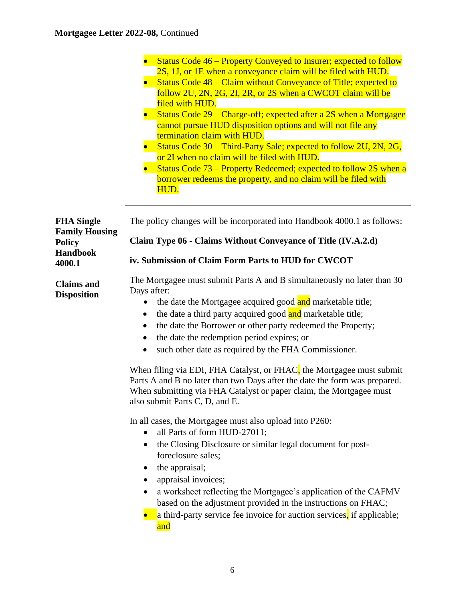|                                                                                          | Status Code 46 – Property Conveyed to Insurer; expected to follow<br>2S, 1J, or 1E when a conveyance claim will be filed with HUD.<br>Status Code 48 – Claim without Conveyance of Title; expected to<br>follow 2U, 2N, 2G, 2I, 2R, or 2S when a CWCOT claim will be<br>filed with HUD.<br>Status Code 29 – Charge-off; expected after a 2S when a Mortgagee<br>cannot pursue HUD disposition options and will not file any<br>termination claim with HUD.<br>Status Code 30 – Third-Party Sale; expected to follow 2U, 2N, 2G,<br>or 2I when no claim will be filed with HUD.<br>Status Code 73 – Property Redeemed; expected to follow 2S when a<br>borrower redeems the property, and no claim will be filed with<br>HUD.                                                                                                                                       |
|------------------------------------------------------------------------------------------|--------------------------------------------------------------------------------------------------------------------------------------------------------------------------------------------------------------------------------------------------------------------------------------------------------------------------------------------------------------------------------------------------------------------------------------------------------------------------------------------------------------------------------------------------------------------------------------------------------------------------------------------------------------------------------------------------------------------------------------------------------------------------------------------------------------------------------------------------------------------|
| <b>FHA Single</b><br><b>Family Housing</b><br><b>Policy</b><br><b>Handbook</b><br>4000.1 | The policy changes will be incorporated into Handbook 4000.1 as follows:                                                                                                                                                                                                                                                                                                                                                                                                                                                                                                                                                                                                                                                                                                                                                                                           |
|                                                                                          | Claim Type 06 - Claims Without Conveyance of Title (IV.A.2.d)<br>iv. Submission of Claim Form Parts to HUD for CWCOT                                                                                                                                                                                                                                                                                                                                                                                                                                                                                                                                                                                                                                                                                                                                               |
| <b>Claims</b> and<br><b>Disposition</b>                                                  | The Mortgagee must submit Parts A and B simultaneously no later than 30<br>Days after:<br>the date the Mortgagee acquired good and marketable title;<br>the date a third party acquired good and marketable title;<br>the date the Borrower or other party redeemed the Property;<br>٠<br>the date the redemption period expires; or<br>such other date as required by the FHA Commissioner.<br>When filing via EDI, FHA Catalyst, or FHAC, the Mortgagee must submit<br>Parts A and B no later than two Days after the date the form was prepared.<br>When submitting via FHA Catalyst or paper claim, the Mortgagee must<br>also submit Parts C, D, and E.<br>In all cases, the Mortgagee must also upload into P260:<br>all Parts of form HUD-27011;<br>the Closing Disclosure or similar legal document for post-<br>٠<br>foreclosure sales;<br>the appraisal; |
|                                                                                          | appraisal invoices;<br>a worksheet reflecting the Mortgagee's application of the CAFMV<br>based on the adjustment provided in the instructions on FHAC;<br>a third-party service fee invoice for auction services, if applicable;<br>and                                                                                                                                                                                                                                                                                                                                                                                                                                                                                                                                                                                                                           |